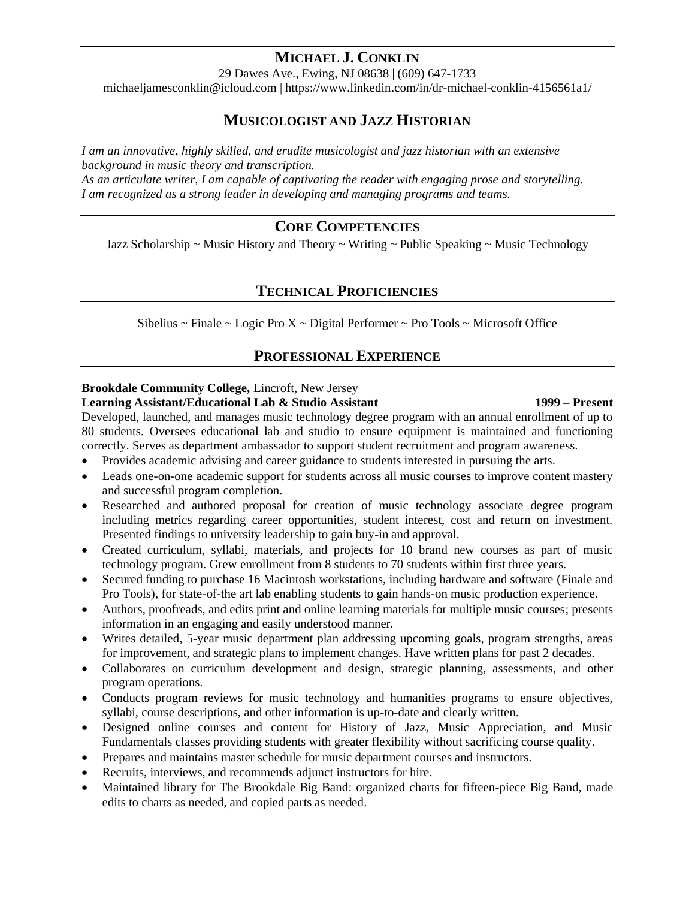# **MICHAEL J. CONKLIN**

29 Dawes Ave., Ewing, NJ 08638 | (609) 647-1733

michaeljamesconklin@icloud.com | https://www.linkedin.com/in/dr-michael-conklin-4156561a1/

# **MUSICOLOGIST AND JAZZ HISTORIAN**

*I am an innovative, highly skilled, and erudite musicologist and jazz historian with an extensive background in music theory and transcription.*

*As an articulate writer, I am capable of captivating the reader with engaging prose and storytelling. I am recognized as a strong leader in developing and managing programs and teams.*

## **CORE COMPETENCIES**

Jazz Scholarship ~ Music History and Theory ~ Writing ~ Public Speaking ~ Music Technology

## **TECHNICAL PROFICIENCIES**

Sibelius ~ Finale ~ Logic Pro  $X \sim$  Digital Performer ~ Pro Tools ~ Microsoft Office

## **PROFESSIONAL EXPERIENCE**

## **Brookdale Community College,** Lincroft, New Jersey

#### **Learning Assistant/Educational Lab & Studio Assistant 1999 – Present**

Developed, launched, and manages music technology degree program with an annual enrollment of up to 80 students. Oversees educational lab and studio to ensure equipment is maintained and functioning correctly. Serves as department ambassador to support student recruitment and program awareness.

- Provides academic advising and career guidance to students interested in pursuing the arts.
- Leads one-on-one academic support for students across all music courses to improve content mastery and successful program completion.
- Researched and authored proposal for creation of music technology associate degree program including metrics regarding career opportunities, student interest, cost and return on investment. Presented findings to university leadership to gain buy-in and approval.
- Created curriculum, syllabi, materials, and projects for 10 brand new courses as part of music technology program. Grew enrollment from 8 students to 70 students within first three years.
- Secured funding to purchase 16 Macintosh workstations, including hardware and software (Finale and Pro Tools), for state-of-the art lab enabling students to gain hands-on music production experience.
- Authors, proofreads, and edits print and online learning materials for multiple music courses; presents information in an engaging and easily understood manner.
- Writes detailed, 5-year music department plan addressing upcoming goals, program strengths, areas for improvement, and strategic plans to implement changes. Have written plans for past 2 decades.
- Collaborates on curriculum development and design, strategic planning, assessments, and other program operations.
- Conducts program reviews for music technology and humanities programs to ensure objectives, syllabi, course descriptions, and other information is up-to-date and clearly written.
- Designed online courses and content for History of Jazz, Music Appreciation, and Music Fundamentals classes providing students with greater flexibility without sacrificing course quality.
- Prepares and maintains master schedule for music department courses and instructors.
- Recruits, interviews, and recommends adjunct instructors for hire.
- Maintained library for The Brookdale Big Band: organized charts for fifteen-piece Big Band, made edits to charts as needed, and copied parts as needed.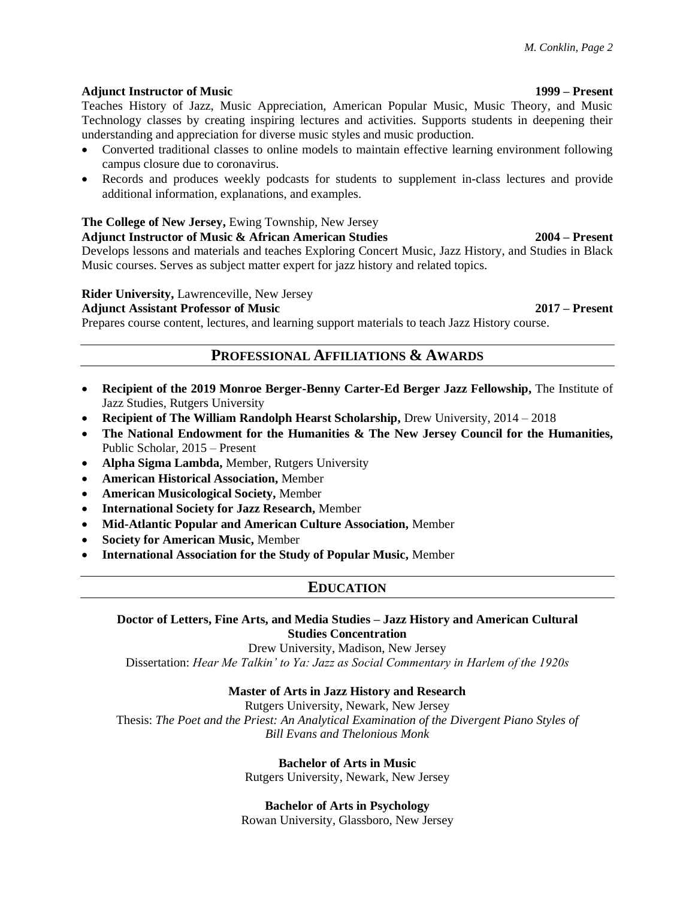#### **Adjunct Instructor of Music 1999 – Present**

Teaches History of Jazz, Music Appreciation, American Popular Music, Music Theory, and Music Technology classes by creating inspiring lectures and activities. Supports students in deepening their understanding and appreciation for diverse music styles and music production.

- Converted traditional classes to online models to maintain effective learning environment following campus closure due to coronavirus.
- Records and produces weekly podcasts for students to supplement in-class lectures and provide additional information, explanations, and examples.

### **The College of New Jersey,** Ewing Township, New Jersey

**Adjunct Instructor of Music & African American Studies 2004 – Present** Develops lessons and materials and teaches Exploring Concert Music, Jazz History, and Studies in Black Music courses. Serves as subject matter expert for jazz history and related topics.

#### **Rider University,** Lawrenceville, New Jersey

#### **Adjunct Assistant Professor of Music 2017 – Present**

Prepares course content, lectures, and learning support materials to teach Jazz History course.

## **PROFESSIONAL AFFILIATIONS & AWARDS**

- **Recipient of the 2019 Monroe Berger-Benny Carter-Ed Berger Jazz Fellowship,** The Institute of Jazz Studies, Rutgers University
- **Recipient of The William Randolph Hearst Scholarship, Drew University, 2014 2018**
- **The National Endowment for the Humanities & The New Jersey Council for the Humanities,**  Public Scholar, 2015 – Present
- **Alpha Sigma Lambda,** Member, Rutgers University
- **American Historical Association,** Member
- **American Musicological Society,** Member
- **International Society for Jazz Research,** Member
- **Mid-Atlantic Popular and American Culture Association,** Member
- **Society for American Music,** Member
- **International Association for the Study of Popular Music,** Member

## **EDUCATION**

#### **Doctor of Letters, Fine Arts, and Media Studies – Jazz History and American Cultural Studies Concentration**

Drew University, Madison, New Jersey

Dissertation: *Hear Me Talkin' to Ya: Jazz as Social Commentary in Harlem of the 1920s*

#### **Master of Arts in Jazz History and Research**

Rutgers University, Newark, New Jersey Thesis: *The Poet and the Priest: An Analytical Examination of the Divergent Piano Styles of Bill Evans and Thelonious Monk*

### **Bachelor of Arts in Music**

Rutgers University, Newark, New Jersey

#### **Bachelor of Arts in Psychology**

Rowan University, Glassboro, New Jersey